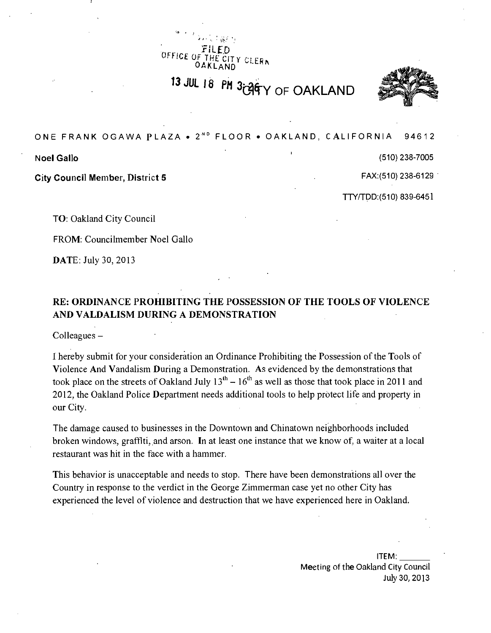OFFICE ( CITY CLERA

13 JUL 18 PM 3t 94 Y OF OAKLAND



ONE FRANK OGAWA PLAZA • 2<sup>ND</sup> FLOOR • OAKLAND, CALIFORNIA 94612

City Council Member, District 5 FAX:(510) 238-6129

Noel Gallo (510) 238-7005 بين المستخدم المستخدم المستخدم المستخدم المستخدم المستخدم المستخدم المستخدم المستخدم

TTY/TDD:(510) 839-6451

TO: Oakland City Council

FROM: Councilmember Noel Gallo

DATE: July 30, 2013

# **RE: ORDINANCE PROHIBITING THE POSSESSION OF THE TOOLS OF VIOLENCE AND VALDALISM DURING A DEMONSTRATION**

Colleagues -

I hereby submit for your consideration an Ordinance Prohibiting the Possession of the Tools of Violence And Vandalism During a Demonstration. As evidenced by the demonstrations that took place on the streets of Oakland July  $13<sup>th</sup> - 16<sup>th</sup>$  as well as those that took place in 2011 and 2012, the Oakland Police Department needs additional tools to help protect life and property in our City.

The damage caused to businesses in the Downtown and Chinatown neighborhoods included broken windows, graffiti, and arson. In at least one instance that we know of, a waiter at a local restaurant was hit in the face with a hammer.

This behavior is unacceptable and needs to stop. There have been demonstrations all over the Country in response to the verdict in the George Zimmerman case yet no other City has experienced the level of violence and destruction that we have experienced here in Oakland.

> ITEM: Meeting of the Oakland City Council July 30, 2013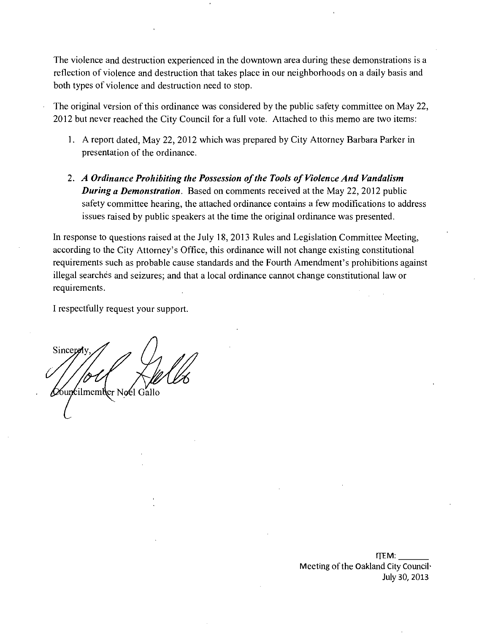The violence and destruction experienced in the downtown area during these demonstrations is a reflection of violence and destruction that takes place in our neighborhoods on a daily basis and both types of violence and destruction need to stop.

- The original version of this ordinance was considered by the public safety committee on May 22, 2012 but never reached the City Council for a full vote. Attached to this memo are two items:
	- 1. A report dated, May 22, 2012 which was prepared by City Attorney Barbara Parker in presentation of the ordinance.
	- 2. A Ordinance Prohibiting the Possession of the Tools of Violence And Vandalism **During a Demonstration.** Based on comments received at the May 22, 2012 public safety committee hearing, the attached ordinance contains a few modifications to address issues raised by public speakers at the time the original ordinance was presented.

In response to questions raised at the July 18, 2013 Rules and Legislation Committee Meeting, according to the City Attorney's Office, this ordinance will not change existing constitutional requirements such as probable cause standards and the Fourth Amendment's prohibitions against illegal searches and seizures; and that a local ordinance cannot change constitutional law or requirements.

I respectfully request your support.

**Sincere A**buncilmember Noel Gallo

ITEM: Meeting of the Oakland City Council-July 30, 2013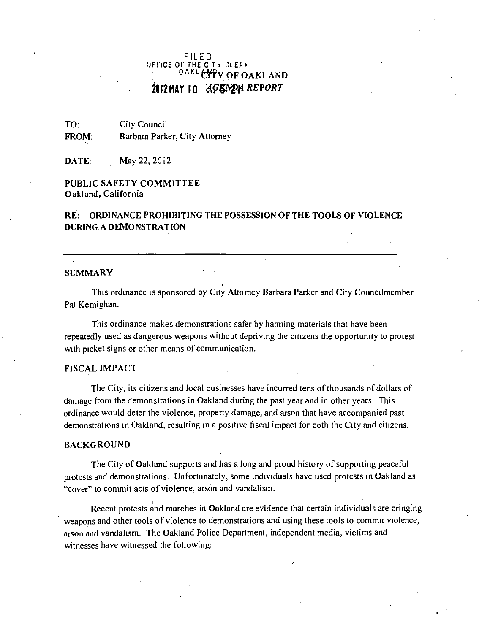# FILED OFFICE OF THE CITY CLERK <sup>OAKL</sup>CTY OF OAKLAND **2012 HAY 10** *AGENDA REPORT*

TO: City Council FROM: Barbara Parker, City Attorney

**DATE:** May 22, 2012

# PUBLIC SAFETY COMMITTEE Oakland, California

# RE: ORDINANCE PROHIBITING THE POSSESSION OF THE TOOLS OF VIOLENCE DURING A DEMONSTRATION

#### SUMMARY

This ordinance is sponsored by City Attomey Barbara Parker and City Councilmember Pat Kemighan.

This ordinance makes demonstrations safer by hamiing materials that have been repeatedly used as dangerous weapons without depriving the citizens the opportunity to protest with picket signs or other means of communication.

# FISCAL IMPACT

The City, its citizens and local businesses have incurred tens of thousands of dollars of damage from the demonstrations in Oakland during the past year and in other years. This ordinance would deter the violence, property damage, and arson that have accompanied past demonstrations in Oakland, resulting in a positive fiscal impact for both the City and citizens.

### **BACKGROUND**

The City of Oakland supports and has a long and proud history of supporting peaceful protests and demonstrations. Unfortunately, some individuals have used protests in Oakland as "cover" to commit acts of violence, arson and vandalism.

Recent protests and marches in Oakland are evidence that certain individuals are bringing weapons and other tools of violence to demonstrations and using these tools to commit violence, arson and vandalism. The Oakland Police Department, independent media, victims and witnesses have witnessed the following: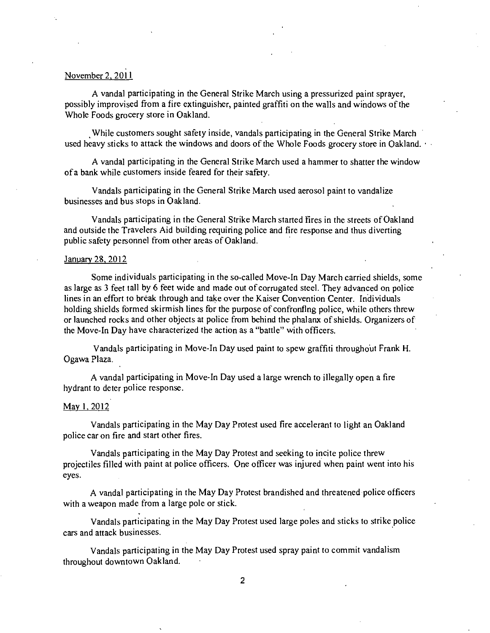# November 2, 2011

A vandal participating in the General Strike March using a pressurized paint sprayer, possibly improvised from a fire extinguisher, painted graffiti on the walls and windows of the Whole Foods grocery store in Oakland.

While customers sought safety inside, vandals participating in the General Strike March used heavy sticks to attack the windows and doors of the Whole Foods grocery store in Oakland.

A vandal participating in the General Strike March used a hammer to shatter the window of a bank while customers inside feared for their safety.

Vandals participating in the General Strike March used aerosol paint to vandalize businesses and bus stops in Oakland.

Vandals participating in the General Strike March started Fires in the streets of Oakland and outside the Travelers Aid building requiring police and fire response and thus diverting public safety personnel from other areas of Oakland.

#### January 28. 2012

Some individuals participating in the so-called Move-In Day March carried shields, some as large as 3 feet tall by 6 feet wide and made out of corrugated steel. They advanced on police lines in an effort to break through and take over the Kaiser Convention Center. Individuals holding shields formed skirmish lines for the purpose of confronflng police, while others threw or launched rocks and other objects at police from behind the phalanx of shields. Organizers of the Move-In Day have characterized the action as a "battle" with officers.

Vandals participating in Move-In Day used paint to spew graffiti throughout Frank H. Ogawa Plaza.

A vandal participating in Move-In Day used a large wrench to illegally open a fire hydrant to deter police response.

#### May 1, 2012

Vandals participating in the May Day Protest used fire accelerant to light an Oakland police car on fire and start other fires.

Vandals participating in the May Day Protest and seeking to incite police threw projectiles filled with paint at police officers. One officer was injured when paint went into his eyes.

A vandal participating in the May Day Protest brandished and threatened police officers with a weapon made from a large pole or stick.

Vandals participating in the May Day Protest used large poles and sticks to strike police cars and attack businesses.

Vandals participating in the May Day Protest used spray paint to commit vandalism throughout downtown Oakland.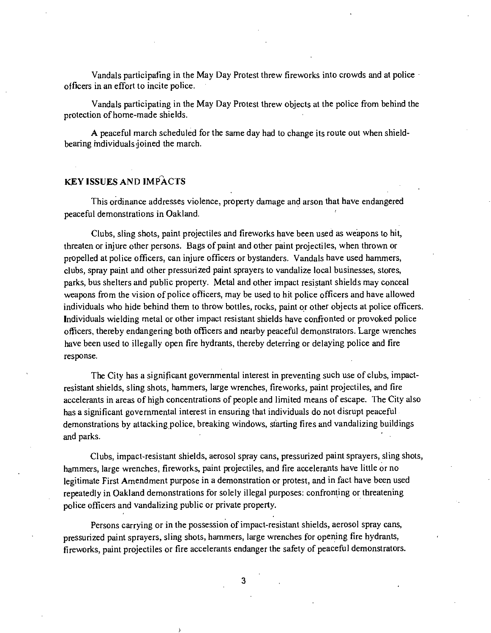Vandals participating in the May Day Protest threw fireworks into crowds and at police officers in an effort to incite police.

Vandals participating in the May Day Protest threw objects at the police from behind the protection of home-made shields.

A peaceful march scheduled for the same day had to change its route out when shieldbearing mdividuals joined the march.

# KEY ISSUES AND IMPACTS

This ordinance addresses violence, property damage and arson that have endangered peaceful demonstrations in Oakland.

Clubs, sling shots, paint projectiles and fireworks have been used as weapons to hit, threaten or injure other persons. Bags of paint and other paint projectiles, when thrown or propelled at police officers, can injure officers or bystanders. Vandals have used hammers, clubs, spray paint and other pressurized paint sprayers to vandalize local businesses, stores, parks, bus shelters and public property. Metal and other impact resistant shields may conceal weapons from the vision of police officers, may be used to hit police officers and have allowed individuals who hide behind them to throw bottles, rocks, paint or other objects at police officers. Individuals wielding metal or other impact resistant shields have confronted or provoked police officers, thereby endangering both officers and nearby peaceful demonstrators. Large wrenches have been used to illegally open fire hydrants, thereby deterring or delaying police and fire response.

The City has a significant governmental interest in preventing such use of clubs, impactresistant shields, sling shots, hammers, large wrenches, fireworks, paint projectiles, and fire accelerants in areas of high concentrations of people and limited means of escape. The City also has a significant governmental interest in ensuring that individuals do not disrupt peaceful demonstrations by attacking police, breaking windows, starting fires and vandalizing buildings and parks.

Clubs, impact-resistant shields, aerosol spray cans, pressurized paint sprayers, sling shots, hammers, large wrenches, fireworks, paint projectiles, and fire accelerants have little or no legitimate First Amendment purpose in a demonstration or protest, and in fact have been used repeatedly in Oakland demonstrations for solely illegal purposes: confronting or threatening police officers and vandalizing public or private property.

Persons carrying or in the possession of impact-resistant shields, aerosol spray cans, pressurized paint sprayers, sling shots, hammers, large wrenches for opening fire hydrants, fireworks, paint projectiles or fire accelerants endanger the safety of peaceful demonstrators.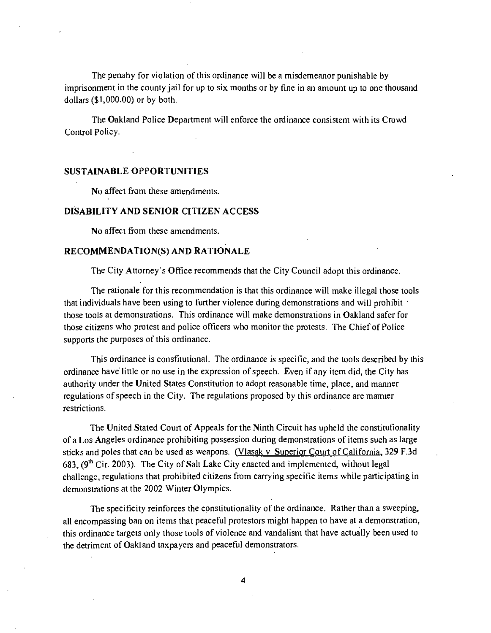The penahy for violation of this ordinance will be a misdemeanor punishable by imprisonment in the county jail for up to six months or by fine in an amount up to one thousand dollars (\$1,000.00) or by both.

The Oakland Police Department will enforce the ordinance consistent with its Crowd Control Policy.

# SUSTAINABLE OPPORTUNITIES

No affect from these amendments.

## DISABILITY AND SENIOR CITIZEN ACCESS

No affect from these amendments.

## RECOMMENDATION(S) AND RATIONALE

The City Attorney's Office recommends that the City Council adopt this ordinance.

The rationale for this recommendation is that this ordinance will make illegal those tools that individuals have been using to further violence during demonstrations and will prohibit those tools at demonstrations. This ordinance will make demonstrations in Oakland safer for those citizens who protest and police officers who monitor the protests. The Chief of Police supports the purposes of this ordinance.

This ordinance is consfitutional. The ordinance is specific, and the tools described by this ordinance have little or no use in the expression of speech. Even if any item did, the City has authority under the United Slates Constitution to adopt reasonable time, place, and manner regulations of speech in the City. The regulations proposed by this ordinance are mamier restrictions.

The United Stated Court of Appeals for the Ninth Circuit has upheld the constitufionality of a Los Angeles ordinance prohibiting possession during demonstrations of items such as large sticks and poles that can be used as weapons. (Vlasak v. Superior Court of California, 329 F.3d 683,  $(9<sup>th</sup> Cir. 2003)$ . The City of Salt Lake City enacted and implemented, without legal challenge, regulations that prohibited citizens from carrying specific items while participating in demonstrations at the 2002 Winter Olympics.

The specificity reinforces the constitutionality of the ordinance. Rather than a sweeping, all encompassing ban on items that peaceful protestors might happen to have at a demonstration, this ordinance targets only those tools of violence and vandalism that have actually been used to the detriment of Oakland taxpayers and peaceful demonstrators.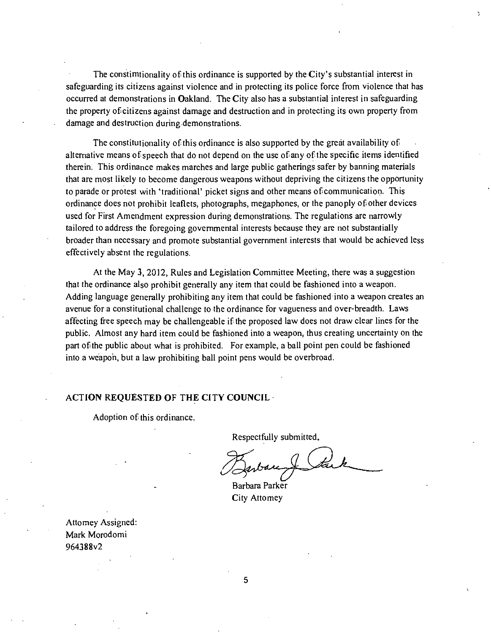The constimtionality of this ordinance is supported by the City's substantial interest in safeguarding its citizens against violence and in protecting its police force from violence that has occurred at demonstrations in Oakland. The City also has a substantial interest in safeguarding the property of citizens against damage and destruction and in protecting its own property from damage and destruction during demonstrations.

The constitutionality of this ordinance is also supported by the great availability of alternative means of speech that do not depend on the use of any of the specific items identified therein. This ordinance makes marches and large public gatherings safer by banning materials that are most likely to become dangerous weapons without depriving the citizens the opportunity to parade or protest with 'traditional' picket signs and other means of communication. This ordinance does not prohibit leaflets, photographs, megaphones, or the panoply of other devices used for First Amendment expression during demonstrations. The regulations are narrowly tailored to address the foregoing governmental interests because they are not substantially broader than necessary and promote substantial government interests that would be achieved less effectively absent the regulations.

At the May 3, 2012, Rules and Legislation Committee Meeting, there was a suggestion that the ordinance also prohibit generally any item that could be fashioned into a weapon. Adding language generally prohibiting any item that could be fashioned into a weapon creates an avenue for a constitutional challenge to the ordinance for vagueness and over-breadth. Laws affecting free speech may be challengeable if the proposed law does not draw clear lines for the public. Almost any hard item could be fashioned into a weapon, thus creating uncertainty on the part of the public about what is prohibited. For example, a ball point pen could be fashioned into a weapon, but a law prohibiting ball point pens would be overbroad.

## ACTION REQUESTED OF THE CITY COUNCIL

Adoption of this ordinance.

Respectfully submitted.

Barbara Parker City Attomey

Attomey Assigned: Mark Morodomi 964388v2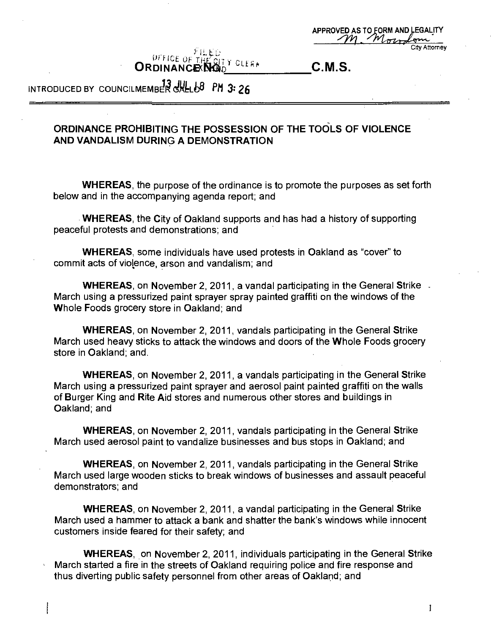|         | APPROVED AS TO FORM AND LEGALITY<br>M Moradom |
|---------|-----------------------------------------------|
| មិស ស្ថ | <b>City Attorney</b>                          |

UFFICE OF THE QTY CLEAR ORDINANCE NO<sub>D</sub><sup> CLEAR</sup> C.M.S.

**INTRODUCED BY COUNCILMEMBER GALL 68 PM 3:26** 

# **ORDINANCE PROHIBITING THE POSSESSION OF THE TOOLS OF VIOLENCE AND VANDALISM DURING A DEMONSTRATION**

WHEREAS, the purpose of the ordinance is to promote the purposes as set forth below and in the accompanying agenda report; and

WHEREAS, the City of Oakland supports and has had a history of supporting peaceful protests and demonstrations; and

WHEREAS, some individuals have used protests in Oakland as "cover" to commit acts of violence, arson and vandalism; and

WHEREAS, on November 2, 2011, a vandal participating in the General Strike - March using a pressurized paint sprayer spray painted graffiti on the windows of the Whole Foods grocery store in Oakland; and

WHEREAS, on November 2, 2011, vandals participating in the General Strike March used heavy sticks to attack the windows and doors of the Whole Foods grocery store in Oakland; and.

WHEREAS, on November 2, 2011, a vandals participating in the General Strike March using a pressurized paint sprayer and aerosol paint painted graffiti on the walls of Burger King and Rite Aid stores and numerous other stores and buildings in Oakland; and

WHEREAS, on November 2, 2011, vandals participating in the General Strike March used aerosol paint to vandalize businesses and bus stops in Oakland; and

WHEREAS, on November 2, 2011, vandals participating in the General Strike March used large wooden sticks to break windows of businesses and assault peaceful demonstrators; and

WHEREAS, on November 2, 2011, a vandal participating in the General Strike March used a hammer to attack a bank and shatter the bank's windows while innocent customers inside feared for their safety; and

WHEREAS, on November 2, 2011, individuals participating in the General Strike March started a fire in the streets of Oakland requiring police and fire response and thus diverting public safety personnel from other areas of Oakland; and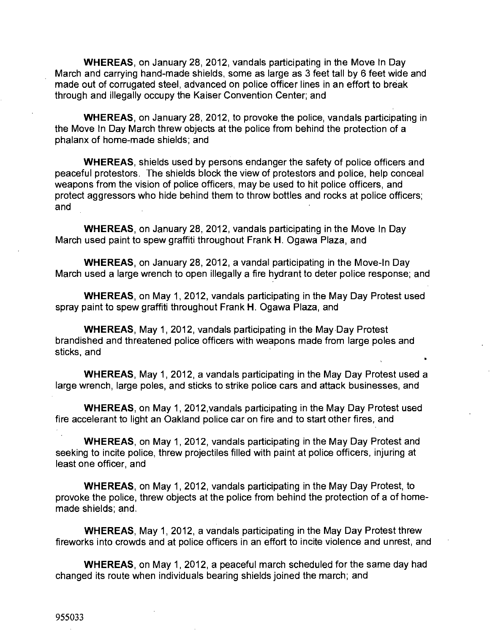WHEREAS, on January 28, 2012, vandals participating in the Move In Day March and carrying hand-made shields, some as large as 3 feet tall by 6 feet wide and made out of corrugated steel, advanced on police officer lines in an effort to break through and illegally occupy the Kaiser Convention Center; and

WHEREAS, on January 28, 2012, to provoke the police, vandals participating in the Move In Day March threw objects at the police from behind the protection of a phalanx of home-made shields; and

WHEREAS, shields used by persons endanger the safety of police officers and peaceful protestors. The shields block the view of protestors and police, help conceal weapons from the vision of police officers, may be used to hit police officers, and protect aggressors who hide behind them to throw bottles and rocks at police officers; and

WHEREAS, on January 28, 2012, vandals participating in the Move In Day March used paint to spew graffiti throughout Frank H. Ogawa Plaza, and

WHEREAS, on January 28, 2012, a vandal participating in the Move-In Day March used a large wrench to open illegally a fire hydrant to deter police response; and

WHEREAS, on May 1, 2012, vandals participating in the May Day Protest used spray paint to spew graffiti throughout Frank H. Ogawa Plaza, and

WHEREAS, May 1, 2012, vandals participating in the May Day Protest brandished and threatened police officers with weapons made from large poles and sticks, and

WHEREAS, May 1, 2012, a vandals participating in the May Day Protest used a large wrench, large poles, and sticks to strike police cars and attack businesses, and

•I

WHEREAS, on May 1, 2012,vandals participating in the May Day Protest used fire accelerant to light an Oakland police car on fire and to start other fires, and

WHEREAS, on May 1, 2012, vandals participating in the May Day Protest and seeking to incite police, threw projectiles filled with paint at police officers, injuring at least one officer, and

WHEREAS, on May 1, 2012, vandals participating in the May Day Protest, to provoke the police, threw objects at the police from behind the protection of a of homemade shields; and.

WHEREAS, May 1, 2012, a vandals participating in the May Day Protest threw fireworks into crowds and at police officers in an effort to incite violence and unrest, and

WHEREAS, on May 1, 2012, a peaceful march scheduled for the same day had changed its route when individuals bearing shields joined the march; and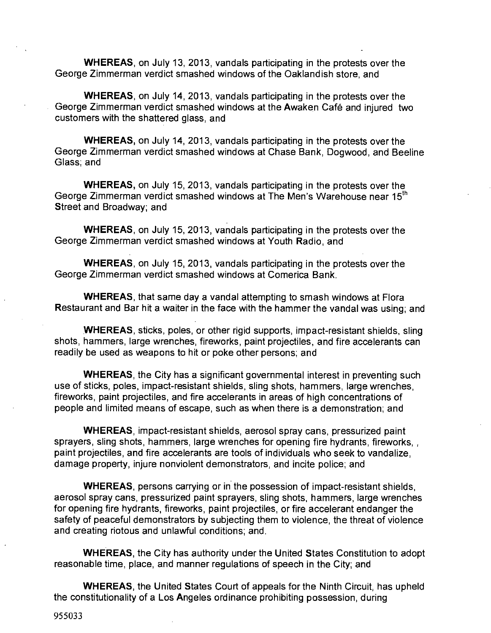WHEREAS, on July 13, 2013, vandals participating in the protests over the George Zimmerman verdict smashed windows of the Oaklandish store, and

WHEREAS, on July 14, 2013, vandals participating in the protests over the George Zimmerman verdict smashed windows at the Awaken Cafe and injured two customers with the shattered glass, and

WHEREAS, on July 14, 2013. vandals participating in the protests over the George Zimmerman verdict smashed windows at Chase Bank, Dogwood, and Beeline Glass; and

WHEREAS, on July 15, 2013, vandals participating in the protests over the George Zimmerman verdict smashed windows at The Men's Warehouse near  $15<sup>th</sup>$ Street and Broadway; and

WHEREAS, on July 15, 2013, vandals participating in the protests over the George Zimmerman verdict smashed windows at Youth Radio, and

WHEREAS, on July 15, 2013, vandals participating in the protests over the George Zimmerman verdict smashed windows at Comerica Bank.

WHEREAS, that same day a vandal attempting to smash windows at Flora Restaurant and Bar hit a waiter in the face with the hammer the vandal was using; and

WHEREAS, sticks, poles, or other rigid supports, impact-resistant shields, sling shots, hammers, large wrenches, fireworks, paint projectiles, and fire accelerants can readily be used as weapons to hit or poke other persons; and

WHEREAS, the City has a significant governmental interest in preventing such use of sticks, poles, impact-resistant shields, sling shots, hammers, large wrenches, fireworks, paint projectiles, and fire accelerants in areas of high concentrations of people and limited means of escape, such as when there is a demonstration; and

WHEREAS, impact-resistant shields, aerosol spray cans, pressurized paint sprayers, sling shots, hammers, large wrenches for opening fire hydrants, fireworks, , paint projectiles, and fire accelerants are tools of individuals who seek to vandalize, damage property, injure nonviolent demonstrators, and incite police; and

WHEREAS, persons carrying or in the possession of impact-resistant shields, aerosol spray cans, pressurized paint sprayers, sling shots, hammers, large wrenches for opening fire hydrants, fireworks, paint projectiles, or fire accelerant endanger the safety of peaceful demonstrators by subjecting them to violence, the threat of violence and creating riotous and unlawful conditions; and.

WHEREAS, the City has authority under the United States Constitution to adopt reasonable time, place, and manner regulations of speech in the City; and

WHEREAS, the United States Court of appeals for the Ninth Circuit, has upheld the constitutionality of a Los Angeles ordinance prohibiting possession, during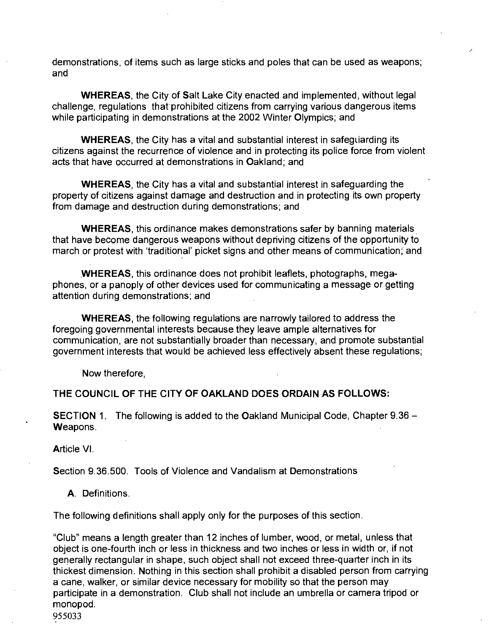demonstrations, of items such as large sticks and poles that can be used as weapons; and

WHEREAS, the City of Salt Lake City enacted and implemented, without legal challenge, regulations that prohibited citizens from carrying various dangerous items while participating in demonstrations at the 2002 Winter Olympics; and

WHEREAS, the City has a vital and substantial interest in safeguarding its citizens against the recurrence of violence and in protecting its police force from violent acts that have occurred at demonstrations in Oakland; and

WHEREAS, the City has a vital and substantial interest in safeguarding the property of citizens against damage and destruction and in protecting its own property from damage and destruction during demonstrations; and

WHEREAS, this ordinance makes demonstrations safer by banning materials that have become dangerous weapons without depnving citizens of the opportunity to march or protest with 'traditional' picket signs and other means of communication; and

WHEREAS, this ordinance does not prohibit leaflets, photographs, megaphones, or a panoply of other devices used for communicating a message or getting attention during demonstrations; and

WHEREAS, the following regulations are narrowly tailored to address the foregoing governmental interests because they leave ample alternatives for communication, are not substantially broader than necessary, and promote substantial government interests that would be achieved less effectively absent these regulations;

Now therefore,

**THE COUNCIL OF THE CITY OF OAKLAND DOES ORDAIN AS FOLLOWS:** 

SECTION 1. The following is added to the Oakland Municipal Code, Chapter 9.36 - Weapons.

Article VI.

Section 9.36.500. Tools of Violence and Vandalism at Demonstrations

A. Definitions.

The following definitions shall apply only for the purposes of this section.

"Club" means a length greater than 12 inches of lumber, wood, or metal, unless that object is one-fourth inch or less in thickness and two inches or less in width or, if not generally rectangular in shape, such object shall not exceed three-quarter inch in its thickest dimension. Nothing in this section shall prohibit a disabled person from carrying a cane, walker, or similar device necessary for mobility so that the person may participate in a demonstration. Club shall not include an umbrella or camera tripod or monopod.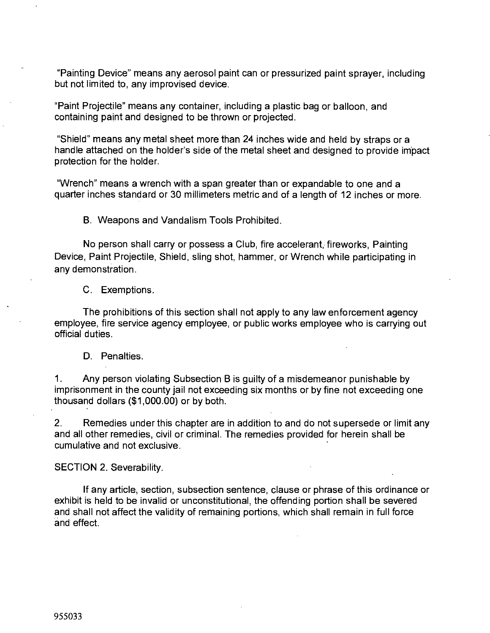"Painting Device" means any aerosol paint can or pressurized paint sprayer, including but not limited to, any improvised device.

"Paint Projectile" means any container, including a plastic bag or balloon, and containing paint and designed to be thrown or projected.

"Shield" means any metal sheet more than 24 inches wide and held by straps or a handle attached on the holder's side of the metal sheet and designed to provide impact protection for the holder.

"Wrench" means a wrench with a span greater than or expandable to one and a quarter inches standard or 30 millimeters metric and of a length of 12 inches or more.

B. Weapons and Vandalism Tools Prohibited.

No person shall carry or possess a Club, fire accelerant, fireworks. Painting Device, Paint Projectile, Shield, sling shot, hammer, or Wrench while participating in any demonstration.

C. Exemptions.

The prohibitions of this section shall not apply to any law enforcement agency employee, fire service agency employee, or public works employee who is carrying out official duties.

# D. Penalties.

1. Any person violating Subsection B is guilty of a misdemeanor punishable by imprisonment in the county jail not exceeding six months or by fine not exceeding one thousand dollars (\$1,000.00) or by both.

2. Remedies under this chapter are in addition to and do not supersede or limit any and all other remedies, civil or criminal. The remedies provided for herein shall be cumulative and not exclusive.

SECTION 2. Severability.

If any article, section, subsection sentence, clause or phrase of this ordinance or exhibit is held to be invalid or unconstitutional, the offending portion shall be severed and shall not affect the validity of remaining portions, which shall remain in full force and effect.